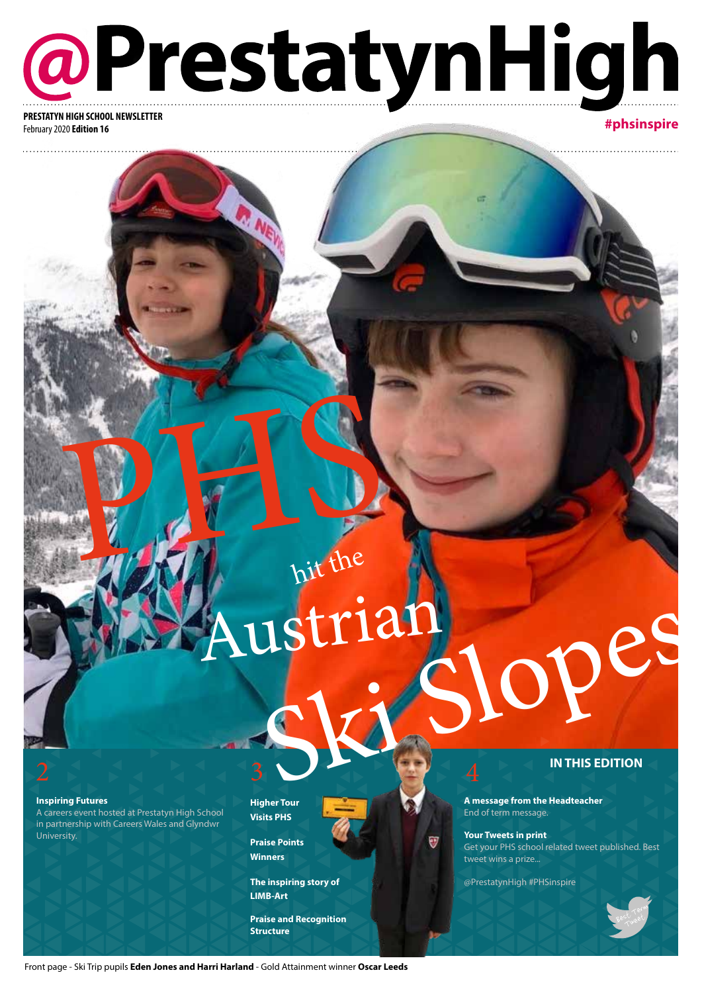**@PrestatynHigh** 

February 2020 **Edition 16**

### **#phsinspire**

hit the

**Inspiring Futures**

A careers event hosted at Prestatyn High School in partnership with Careers Wales and Glyndwr University.

**Higher Tour Visits PHS** 

**Praise Points Winners**

**The inspiring story of LIMB-Art**

**Praise and Recognition Structure**

#### **IN THIS EDITION**

**A message from the Headteacher** End of term message.

**Your Tweets in print** Get your PHS school related tweet published. Best tweet wins a prize...

@PrestatynHigh #PHSinspire

T



Sports **Page 2** Ski Slopes

PHTS N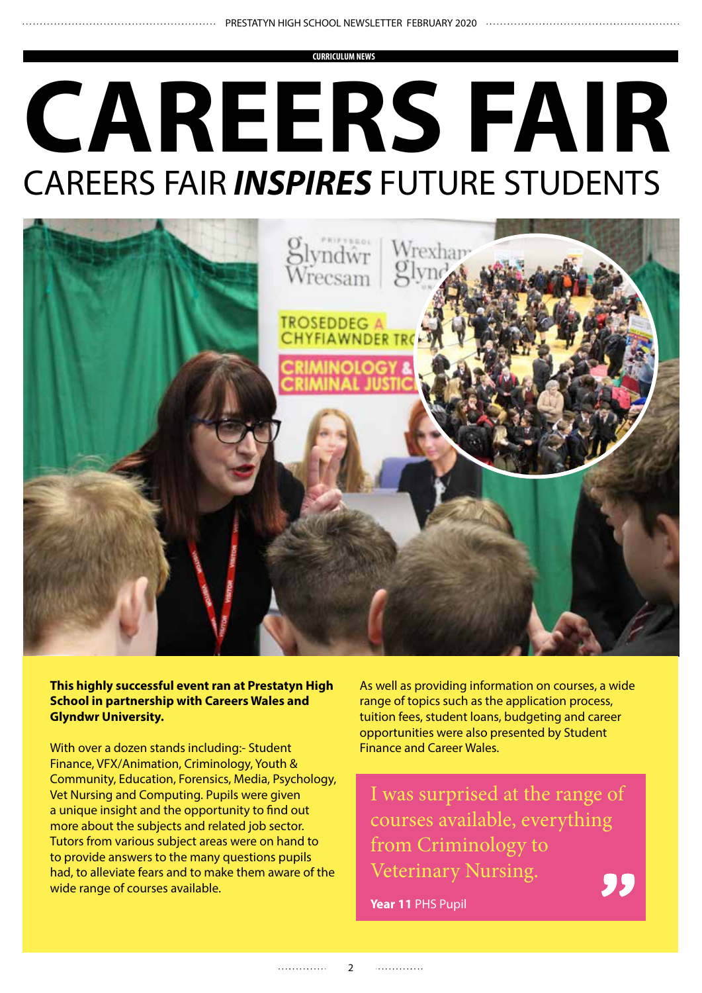**CURRICULUM NEWS**

# **CAREERS FAIR** CAREERS FAIR *INSPIRES* FUTURE STUDENTS



**This highly successful event ran at Prestatyn High School in partnership with Careers Wales and Glyndwr University.**

With over a dozen stands including:- Student Finance, VFX/Animation, Criminology, Youth & Community, Education, Forensics, Media, Psychology, Vet Nursing and Computing. Pupils were given a unique insight and the opportunity to find out more about the subjects and related job sector. Tutors from various subject areas were on hand to to provide answers to the many questions pupils had, to alleviate fears and to make them aware of the wide range of courses available.

As well as providing information on courses, a wide range of topics such as the application process, tuition fees, student loans, budgeting and career opportunities were also presented by Student Finance and Career Wales.

I was surprised at the range of courses available, everything from Criminology to Veterinary Nursing.

**Year 11** PHS Pupil

. . . . . . . . . . . . . .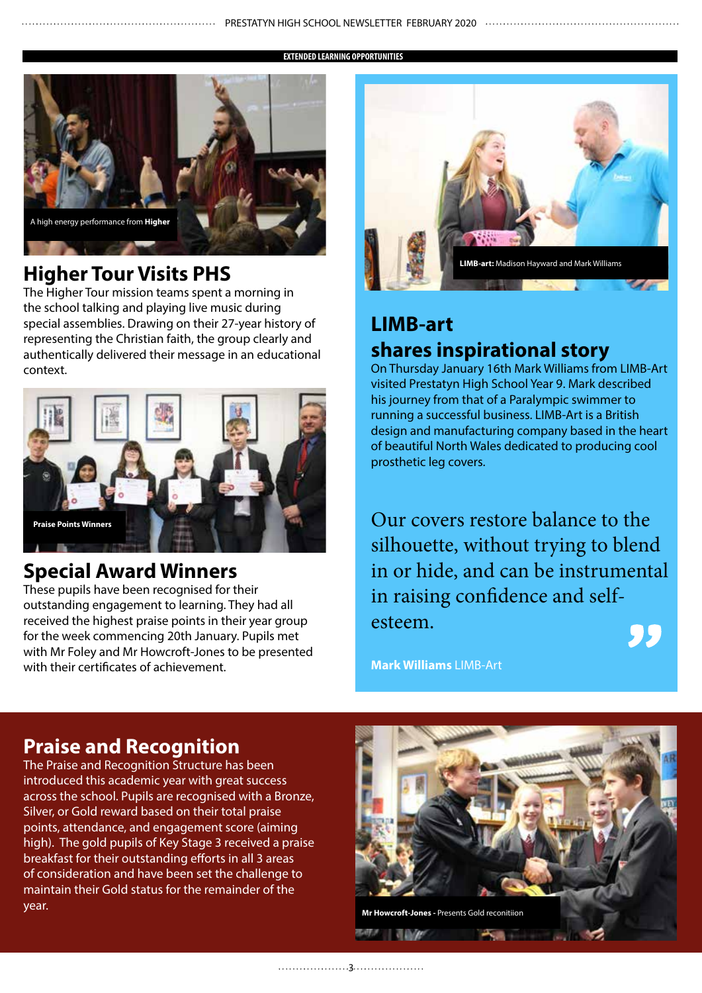**EXTENDED LEARNING OPPORTUNITIES**



# **Higher Tour Visits PHS**

The Higher Tour mission teams spent a morning in the school talking and playing live music during special assemblies. Drawing on their 27-year history of representing the Christian faith, the group clearly and authentically delivered their message in an educational context.



# **Special Award Winners**

These pupils have been recognised for their outstanding engagement to learning. They had all received the highest praise points in their year group for the week commencing 20th January. Pupils met with Mr Foley and Mr Howcroft-Jones to be presented with their certificates of achievement.



# **LIMB-art shares inspirational story**

On Thursday January 16th Mark Williams from LIMB-Art visited Prestatyn High School Year 9. Mark described his journey from that of a Paralympic swimmer to running a successful business. LIMB-Art is a British design and manufacturing company based in the heart of beautiful North Wales dedicated to producing cool prosthetic leg covers.

Our covers restore balance to the silhouette, without trying to blend in or hide, and can be instrumental in raising confidence and selfesteem. "

**Mark Williams** LIMB-Art

## **Praise and Recognition**

The Praise and Recognition Structure has been introduced this academic year with great success across the school. Pupils are recognised with a Bronze, Silver, or Gold reward based on their total praise points, attendance, and engagement score (aiming high). The gold pupils of Key Stage 3 received a praise breakfast for their outstanding efforts in all 3 areas of consideration and have been set the challenge to maintain their Gold status for the remainder of the year.